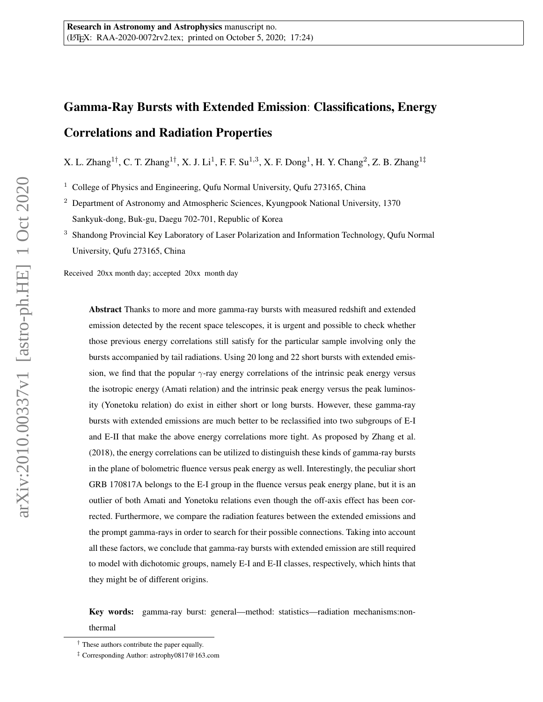# Gamma-Ray Bursts with Extended Emission: Classifications, Energy Correlations and Radiation Properties

X. L. Zhang<sup>1†</sup>, C. T. Zhang<sup>1†</sup>, X. J. Li<sup>1</sup>, F. F. Su<sup>1,3</sup>, X. F. Dong<sup>1</sup>, H. Y. Chang<sup>2</sup>, Z. B. Zhang<sup>1‡</sup>

<sup>1</sup> College of Physics and Engineering, Qufu Normal University, Qufu 273165, China

<sup>2</sup> Department of Astronomy and Atmospheric Sciences, Kyungpook National University, 1370 Sankyuk-dong, Buk-gu, Daegu 702-701, Republic of Korea

<sup>3</sup> Shandong Provincial Key Laboratory of Laser Polarization and Information Technology, Qufu Normal University, Qufu 273165, China

Received 20xx month day; accepted 20xx month day

Abstract Thanks to more and more gamma-ray bursts with measured redshift and extended emission detected by the recent space telescopes, it is urgent and possible to check whether those previous energy correlations still satisfy for the particular sample involving only the bursts accompanied by tail radiations. Using 20 long and 22 short bursts with extended emission, we find that the popular  $\gamma$ -ray energy correlations of the intrinsic peak energy versus the isotropic energy (Amati relation) and the intrinsic peak energy versus the peak luminosity (Yonetoku relation) do exist in either short or long bursts. However, these gamma-ray bursts with extended emissions are much better to be reclassified into two subgroups of E-I and E-II that make the above energy correlations more tight. As proposed by Zhang et al. (2018), the energy correlations can be utilized to distinguish these kinds of gamma-ray bursts in the plane of bolometric fluence versus peak energy as well. Interestingly, the peculiar short GRB 170817A belongs to the E-I group in the fluence versus peak energy plane, but it is an outlier of both Amati and Yonetoku relations even though the off-axis effect has been corrected. Furthermore, we compare the radiation features between the extended emissions and the prompt gamma-rays in order to search for their possible connections. Taking into account all these factors, we conclude that gamma-ray bursts with extended emission are still required to model with dichotomic groups, namely E-I and E-II classes, respectively, which hints that they might be of different origins.

Key words: gamma-ray burst: general—method: statistics—radiation mechanisms:nonthermal

<sup>†</sup> These authors contribute the paper equally.

<sup>‡</sup> Corresponding Author: astrophy0817@163.com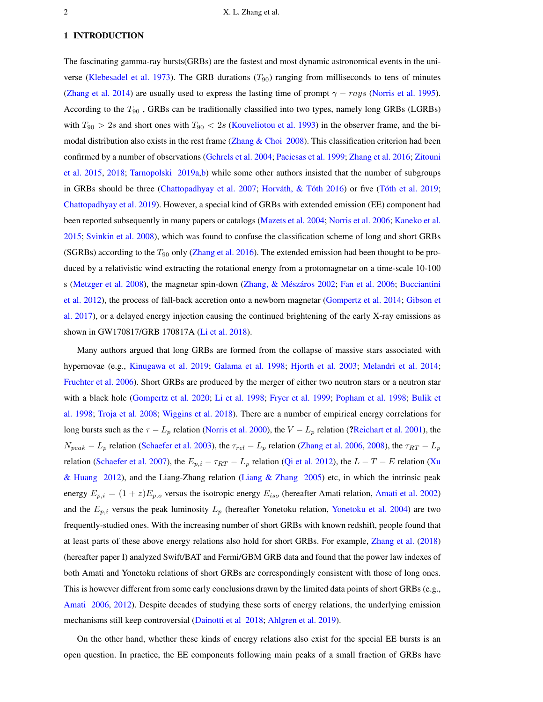#### <span id="page-1-0"></span>1 INTRODUCTION

The fascinating gamma-ray bursts(GRBs) are the fastest and most dynamic astronomical events in the uni-verse [\(Klebesadel et al.](#page-11-0) [1973\)](#page-11-0). The GRB durations  $(T_{90})$  ranging from milliseconds to tens of minutes [\(Zhang et al.](#page-12-0) [2014\)](#page-12-0) are usually used to express the lasting time of prompt  $\gamma - rays$  [\(Norris et al.](#page-11-1) [1995\)](#page-11-1). According to the  $T_{90}$ , GRBs can be traditionally classified into two types, namely long GRBs (LGRBs) with  $T_{90} > 2s$  and short ones with  $T_{90} < 2s$  [\(Kouveliotou et al.](#page-11-2) [1993\)](#page-11-2) in the observer frame, and the bimodal distribution also exists in the rest frame (Zhang  $\&$  Choi [2008\)](#page-12-1). This classification criterion had been confirmed by a number of observations [\(Gehrels et al.](#page-10-0) [2004;](#page-10-0) [Paciesas et al.](#page-11-3) [1999;](#page-11-3) [Zhang et al.](#page-12-2) [2016;](#page-12-2) [Zitouni](#page-12-3) [et al.](#page-12-3) [2015,](#page-12-3) [2018;](#page-12-4) [Tarnopolski](#page-11-4) [2019a,](#page-11-4)[b\)](#page-11-5) while some other authors insisted that the number of subgroups in GRBs should be three [\(Chattopadhyay et al.](#page-10-1) [2007;](#page-10-1) Horváth,  $\&$  Tóth  $2016$ ) or five (Tóth et al. [2019;](#page-11-6) [Chattopadhyay et al.](#page-10-3) [2019\)](#page-10-3). However, a special kind of GRBs with extended emission (EE) component had been reported subsequently in many papers or catalogs [\(Mazets et al.](#page-11-7) [2004;](#page-11-7) [Norris et al.](#page-11-8) [2006;](#page-11-8) [Kaneko et al.](#page-10-4) [2015;](#page-10-4) [Svinkin et al.](#page-11-9) [2008\)](#page-11-9), which was found to confuse the classification scheme of long and short GRBs (SGRBs) according to the  $T_{90}$  only [\(Zhang et al.](#page-12-2) [2016\)](#page-12-2). The extended emission had been thought to be produced by a relativistic wind extracting the rotational energy from a protomagnetar on a time-scale 10-100 s [\(Metzger et al.](#page-11-10) [2008\)](#page-11-10), the magnetar spin-down (Zhang, & Mészáros [2002;](#page-11-11) [Fan et al.](#page-10-5) [2006;](#page-10-5) [Bucciantini](#page-10-6) [et al.](#page-10-6) [2012\)](#page-10-6), the process of fall-back accretion onto a newborn magnetar [\(Gompertz et al.](#page-10-7) [2014;](#page-10-7) [Gibson et](#page-10-8) [al.](#page-10-8) [2017\)](#page-10-8), or a delayed energy injection causing the continued brightening of the early X-ray emissions as shown in GW170817/GRB 170817A [\(Li et al.](#page-11-12) [2018\)](#page-11-12).

Many authors argued that long GRBs are formed from the collapse of massive stars associated with hypernovae (e.g., [Kinugawa et al.](#page-10-9) [2019;](#page-10-9) [Galama et al.](#page-10-10) [1998;](#page-10-10) [Hjorth et al.](#page-10-11) [2003;](#page-10-11) [Melandri et al.](#page-11-13) [2014;](#page-11-13) [Fruchter et al.](#page-10-12) [2006\)](#page-10-12). Short GRBs are produced by the merger of either two neutron stars or a neutron star with a black hole [\(Gompertz et al.](#page-10-13) [2020;](#page-10-13) [Li et al.](#page-11-14) [1998;](#page-11-14) [Fryer et al.](#page-10-14) [1999;](#page-10-14) [Popham et al.](#page-11-15) [1998;](#page-11-15) [Bulik et](#page-10-15) [al.](#page-10-15) [1998;](#page-10-15) [Troja et al.](#page-11-16) [2008;](#page-11-16) [Wiggins et al.](#page-11-17) [2018\)](#page-11-17). There are a number of empirical energy correlations for long bursts such as the  $\tau - L_p$  relation [\(Norris et al.](#page-11-18) [2000\)](#page-11-18), the  $V - L_p$  relation (?[Reichart et al.](#page-11-19) [2001\)](#page-11-19), the  $N_{peak} - L_p$  relation [\(Schaefer et al.](#page-11-20) [2003\)](#page-11-20), the  $\tau_{rel} - L_p$  relation [\(Zhang et al.](#page-12-5) [2006,](#page-12-5) [2008\)](#page-12-6), the  $\tau_{RT} - L_p$ relation [\(Schaefer et al.](#page-11-21) [2007\)](#page-11-21), the  $E_{p,i} - \tau_{RT} - L_p$  relation [\(Qi et al.](#page-11-22) [2012\)](#page-11-22), the  $L - T - E$  relation [\(Xu](#page-11-23) [& Huang](#page-11-23) [2012\)](#page-11-23), and the Liang-Zhang relation [\(Liang & Zhang](#page-11-24) [2005\)](#page-11-24) etc, in which the intrinsic peak energy  $E_{p,i} = (1 + z)E_{p,o}$  versus the isotropic energy  $E_{iso}$  (hereafter Amati relation, [Amati et al.](#page-10-16) [2002\)](#page-10-16) and the  $E_{p,i}$  versus the peak luminosity  $L_p$  (hereafter Yonetoku relation, [Yonetoku et al.](#page-11-25) [2004\)](#page-11-25) are two frequently-studied ones. With the increasing number of short GRBs with known redshift, people found that at least parts of these above energy relations also hold for short GRBs. For example, [Zhang et al.](#page-12-7) [\(2018\)](#page-12-7) (hereafter paper I) analyzed Swift/BAT and Fermi/GBM GRB data and found that the power law indexes of both Amati and Yonetoku relations of short GRBs are correspondingly consistent with those of long ones. This is however different from some early conclusions drawn by the limited data points of short GRBs (e.g., [Amati](#page-10-17) [2006,](#page-10-17) [2012\)](#page-10-18). Despite decades of studying these sorts of energy relations, the underlying emission mechanisms still keep controversial [\(Dainotti et al](#page-10-19) [2018;](#page-10-19) [Ahlgren et al.](#page-10-20) [2019\)](#page-10-20).

On the other hand, whether these kinds of energy relations also exist for the special EE bursts is an open question. In practice, the EE components following main peaks of a small fraction of GRBs have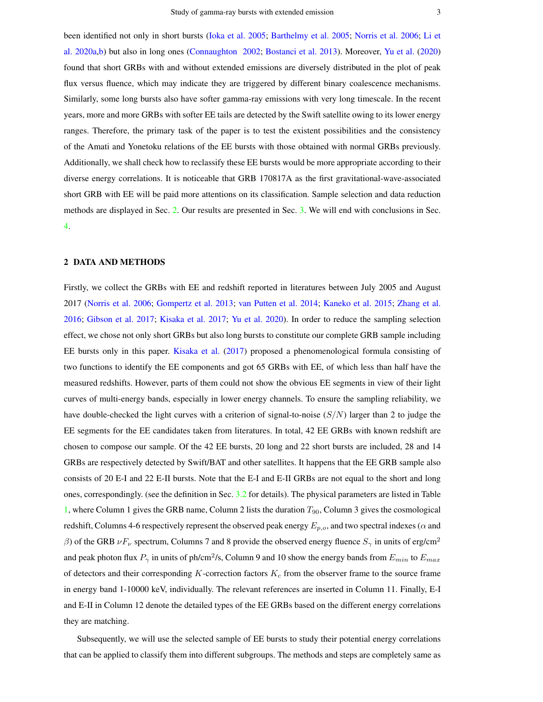<span id="page-2-1"></span>been identified not only in short bursts [\(Ioka et al.](#page-10-21) [2005;](#page-10-21) [Barthelmy et al.](#page-10-22) [2005;](#page-10-22) [Norris et al.](#page-11-8) [2006;](#page-11-8) [Li et](#page-11-26) [al.](#page-11-26) [2020a,](#page-11-26)[b\)](#page-11-27) but also in long ones [\(Connaughton](#page-10-23) [2002;](#page-10-23) [Bostanci et al.](#page-10-24) [2013\)](#page-10-24). Moreover, [Yu et al.](#page-11-28) [\(2020\)](#page-11-28) found that short GRBs with and without extended emissions are diversely distributed in the plot of peak flux versus fluence, which may indicate they are triggered by different binary coalescence mechanisms. Similarly, some long bursts also have softer gamma-ray emissions with very long timescale. In the recent years, more and more GRBs with softer EE tails are detected by the Swift satellite owing to its lower energy ranges. Therefore, the primary task of the paper is to test the existent possibilities and the consistency of the Amati and Yonetoku relations of the EE bursts with those obtained with normal GRBs previously. Additionally, we shall check how to reclassify these EE bursts would be more appropriate according to their diverse energy correlations. It is noticeable that GRB 170817A as the first gravitational-wave-associated short GRB with EE will be paid more attentions on its classification. Sample selection and data reduction methods are displayed in Sec. [2.](#page-2-0) Our results are presented in Sec. [3.](#page-3-0) We will end with conclusions in Sec. [4.](#page-9-0)

# <span id="page-2-0"></span>2 DATA AND METHODS

Firstly, we collect the GRBs with EE and redshift reported in literatures between July 2005 and August 2017 [\(Norris et al.](#page-11-8) [2006;](#page-11-8) [Gompertz et al.](#page-10-25) [2013;](#page-10-25) [van Putten et al.](#page-11-29) [2014;](#page-11-29) [Kaneko et al.](#page-10-4) [2015;](#page-10-4) [Zhang et al.](#page-12-2) [2016;](#page-12-2) [Gibson et al.](#page-10-8) [2017;](#page-10-8) [Kisaka et al.](#page-11-30) [2017;](#page-11-30) [Yu et al.](#page-11-28) [2020\)](#page-11-28). In order to reduce the sampling selection effect, we chose not only short GRBs but also long bursts to constitute our complete GRB sample including EE bursts only in this paper. [Kisaka et al.](#page-11-30) [\(2017\)](#page-11-30) proposed a phenomenological formula consisting of two functions to identify the EE components and got 65 GRBs with EE, of which less than half have the measured redshifts. However, parts of them could not show the obvious EE segments in view of their light curves of multi-energy bands, especially in lower energy channels. To ensure the sampling reliability, we have double-checked the light curves with a criterion of signal-to-noise  $(S/N)$  larger than 2 to judge the EE segments for the EE candidates taken from literatures. In total, 42 EE GRBs with known redshift are chosen to compose our sample. Of the 42 EE bursts, 20 long and 22 short bursts are included, 28 and 14 GRBs are respectively detected by Swift/BAT and other satellites. It happens that the EE GRB sample also consists of 20 E-I and 22 E-II bursts. Note that the E-I and E-II GRBs are not equal to the short and long ones, correspondingly. (see the definition in Sec. [3.2](#page-6-0) for details). The physical parameters are listed in Table [1,](#page-4-0) where Column 1 gives the GRB name, Column 2 lists the duration  $T_{90}$ , Column 3 gives the cosmological redshift, Columns 4-6 respectively represent the observed peak energy  $E_{p,o}$ , and two spectral indexes ( $\alpha$  and β) of the GRB  $\nu F_\nu$  spectrum, Columns 7 and 8 provide the observed energy fluence  $S_\gamma$  in units of erg/cm<sup>2</sup> and peak photon flux  $P_\gamma$  in units of ph/cm $^2$ /s, Column 9 and 10 show the energy bands from  $E_{min}$  to  $E_{max}$ of detectors and their corresponding  $K$ -correction factors  $K_c$  from the observer frame to the source frame in energy band 1-10000 keV, individually. The relevant references are inserted in Column 11. Finally, E-I and E-II in Column 12 denote the detailed types of the EE GRBs based on the different energy correlations they are matching.

Subsequently, we will use the selected sample of EE bursts to study their potential energy correlations that can be applied to classify them into different subgroups. The methods and steps are completely same as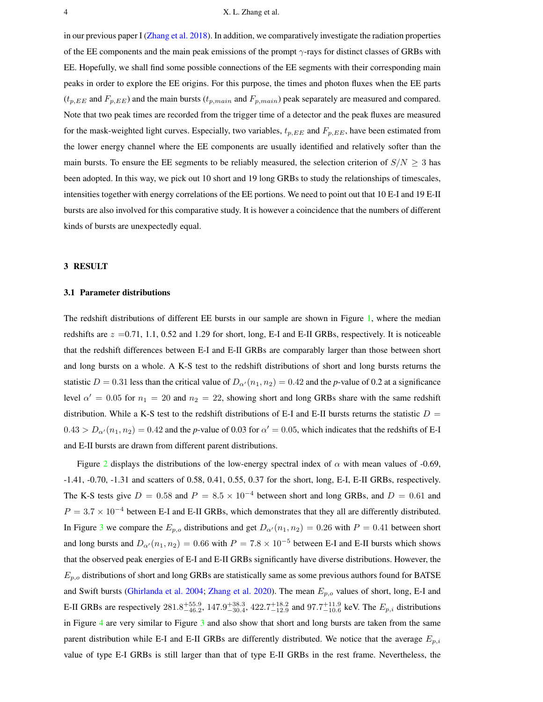<span id="page-3-1"></span>in our previous paper I [\(Zhang et al.](#page-12-7) [2018\)](#page-12-7). In addition, we comparatively investigate the radiation properties of the EE components and the main peak emissions of the prompt  $\gamma$ -rays for distinct classes of GRBs with EE. Hopefully, we shall find some possible connections of the EE segments with their corresponding main peaks in order to explore the EE origins. For this purpose, the times and photon fluxes when the EE parts  $(t_{p,EE}$  and  $F_{p,EE}$ ) and the main bursts  $(t_{p,main}$  and  $F_{p,main}$ ) peak separately are measured and compared. Note that two peak times are recorded from the trigger time of a detector and the peak fluxes are measured for the mask-weighted light curves. Especially, two variables,  $t_{p,EE}$  and  $F_{p,EE}$ , have been estimated from the lower energy channel where the EE components are usually identified and relatively softer than the main bursts. To ensure the EE segments to be reliably measured, the selection criterion of  $S/N \geq 3$  has been adopted. In this way, we pick out 10 short and 19 long GRBs to study the relationships of timescales, intensities together with energy correlations of the EE portions. We need to point out that 10 E-I and 19 E-II bursts are also involved for this comparative study. It is however a coincidence that the numbers of different kinds of bursts are unexpectedly equal.

#### <span id="page-3-0"></span>3 RESULT

### 3.1 Parameter distributions

The redshift distributions of different EE bursts in our sample are shown in Figure [1,](#page-5-0) where the median redshifts are  $z = 0.71, 1.1, 0.52$  and 1.29 for short, long, E-I and E-II GRBs, respectively. It is noticeable that the redshift differences between E-I and E-II GRBs are comparably larger than those between short and long bursts on a whole. A K-S test to the redshift distributions of short and long bursts returns the statistic  $D = 0.31$  less than the critical value of  $D_{\alpha}(n_1, n_2) = 0.42$  and the *p*-value of 0.2 at a significance level  $\alpha' = 0.05$  for  $n_1 = 20$  and  $n_2 = 22$ , showing short and long GRBs share with the same redshift distribution. While a K-S test to the redshift distributions of E-I and E-II bursts returns the statistic  $D =$  $0.43 > D_{\alpha'}(n_1, n_2) = 0.42$  and the *p*-value of 0.03 for  $\alpha' = 0.05$ , which indicates that the redshifts of E-I and E-II bursts are drawn from different parent distributions.

Figure [2](#page-13-0) displays the distributions of the low-energy spectral index of  $\alpha$  with mean values of -0.69, -1.41, -0.70, -1.31 and scatters of 0.58, 0.41, 0.55, 0.37 for the short, long, E-I, E-II GRBs, respectively. The K-S tests give  $D = 0.58$  and  $P = 8.5 \times 10^{-4}$  between short and long GRBs, and  $D = 0.61$  and  $P = 3.7 \times 10^{-4}$  between E-I and E-II GRBs, which demonstrates that they all are differently distributed. In Figure [3](#page-14-0) we compare the  $E_{p,o}$  distributions and get  $D_{\alpha'}(n_1, n_2) = 0.26$  with  $P = 0.41$  between short and long bursts and  $D_{\alpha}(n_1, n_2) = 0.66$  with  $P = 7.8 \times 10^{-5}$  between E-I and E-II bursts which shows that the observed peak energies of E-I and E-II GRBs significantly have diverse distributions. However, the  $E_{p,o}$  distributions of short and long GRBs are statistically same as some previous authors found for BATSE and Swift bursts [\(Ghirlanda et al.](#page-10-26) [2004;](#page-10-26) [Zhang et al.](#page-12-8) [2020\)](#page-12-8). The mean  $E_{p,o}$  values of short, long, E-I and E-II GRBs are respectively  $281.8^{+55.9}_{-46.2}$ ,  $147.9^{+38.3}_{-30.4}$ ,  $422.7^{+18.2}_{-12.9}$  and  $97.7^{+11.9}_{-10.6}$  keV. The  $E_{p,i}$  distributions in Figure [4](#page-15-0) are very similar to Figure [3](#page-14-0) and also show that short and long bursts are taken from the same parent distribution while E-I and E-II GRBs are differently distributed. We notice that the average  $E_{p,i}$ value of type E-I GRBs is still larger than that of type E-II GRBs in the rest frame. Nevertheless, the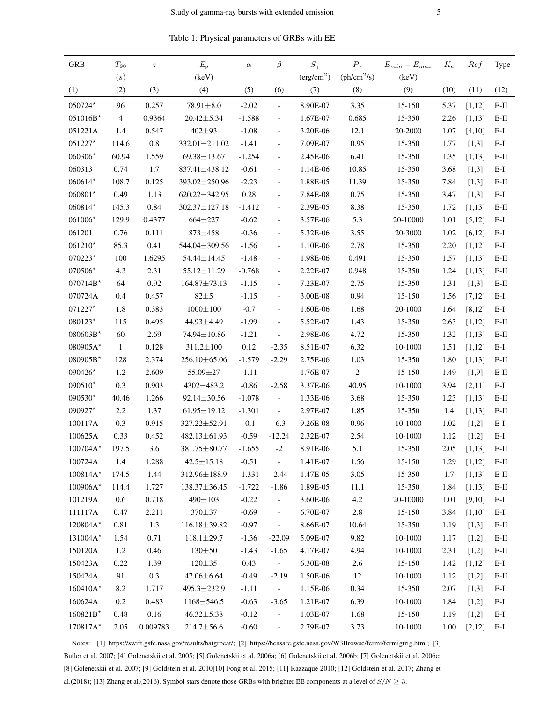| Table 1: Physical parameters of GRBs with EE |
|----------------------------------------------|
|----------------------------------------------|

<span id="page-4-0"></span>

| <b>GRB</b> | $\mathcal{T}_{90}$ | $\boldsymbol{z}$ | $E_{\rm p}$       | $\alpha$ | $\beta$                     | $S_\gamma$             | $P_{\gamma}$            | $E_{min} - E_{max}$ | $K_c$ | Ref     | Type   |
|------------|--------------------|------------------|-------------------|----------|-----------------------------|------------------------|-------------------------|---------------------|-------|---------|--------|
|            | (s)                |                  | (keV)             |          |                             | (erg/cm <sup>2</sup> ) | (ph/cm <sup>2</sup> /s) | (keV)               |       |         |        |
| (1)        | (2)                | (3)              | (4)               | (5)      | (6)                         | (7)                    | (8)                     | (9)                 | (10)  | (11)    | (12)   |
| 050724*    | 96                 | 0.257            | $78.91 \pm 8.0$   | $-2.02$  | $\overline{\phantom{a}}$    | 8.90E-07               | 3.35                    | 15-150              | 5.37  | [1,12]  | $E-II$ |
| $051016B*$ | $\overline{4}$     | 0.9364           | $20.42 \pm 5.34$  | $-1.588$ | $\overline{\phantom{0}}$    | 1.67E-07               | 0.685                   | 15-350              | 2.26  | [1,13]  | $E-II$ |
| 051221A    | 1.4                | 0.547            | 402±93            | $-1.08$  | $\overline{\phantom{a}}$    | 3.20E-06               | 12.1                    | 20-2000             | 1.07  | [4, 10] | E-I    |
| $051227*$  | 114.6              | $\rm 0.8$        | 332.01±211.02     | $-1.41$  | $\overline{\phantom{0}}$    | 7.09E-07               | 0.95                    | 15-350              | 1.77  | [1,3]   | $E-I$  |
| 060306*    | 60.94              | 1.559            | 69.38±13.67       | $-1.254$ | $\blacksquare$              | 2.45E-06               | 6.41                    | 15-350              | 1.35  | [1, 13] | $E-II$ |
| 060313     | 0.74               | 1.7              | 837.41±438.12     | $-0.61$  | $\overline{\phantom{a}}$    | 1.14E-06               | 10.85                   | 15-350              | 3.68  | [1,3]   | $E-I$  |
| 060614*    | 108.7              | 0.125            | 393.02±250.96     | $-2.23$  | $\overline{\phantom{a}}$    | 1.88E-05               | 11.39                   | 15-350              | 7.84  | [1,3]   | $E-II$ |
| 060801*    | 0.49               | 1.13             | 620.22±342.95     | 0.28     | $\overline{\phantom{a}}$    | 7.84E-08               | 0.75                    | 15-350              | 3.47  | [1,3]   | E-I    |
| 060814*    | 145.3              | 0.84             | 302.37±127.18     | $-1.412$ | $\blacksquare$              | 2.39E-05               | 8.38                    | 15-350              | 1.72  | [1,13]  | $E-II$ |
| 061006*    | 129.9              | 0.4377           | 664±227           | $-0.62$  | $\blacksquare$              | 3.57E-06               | 5.3                     | 20-10000            | 1.01  | [5, 12] | E-I    |
| 061201     | 0.76               | 0.111            | $873 \pm 458$     | $-0.36$  | $\overline{\phantom{a}}$    | 5.32E-06               | 3.55                    | 20-3000             | 1.02  | [6, 12] | E-I    |
| $061210*$  | 85.3               | 0.41             | 544.04±309.56     | $-1.56$  | $\overline{\phantom{a}}$    | 1.10E-06               | 2.78                    | 15-350              | 2.20  | [1,12]  | $E-I$  |
| $070223*$  | 100                | 1.6295           | 54.44±14.45       | $-1.48$  | $\overline{\phantom{a}}$    | 1.98E-06               | 0.491                   | 15-350              | 1.57  | [1,13]  | $E-II$ |
| 070506*    | 4.3                | 2.31             | 55.12±11.29       | $-0.768$ | $\overline{\phantom{a}}$    | 2.22E-07               | 0.948                   | 15-350              | 1.24  | [1,13]  | $E-II$ |
| $070714B*$ | 64                 | 0.92             | 164.87±73.13      | $-1.15$  | $\overline{\phantom{a}}$    | 7.23E-07               | 2.75                    | 15-350              | 1.31  | [1,3]   | $E-II$ |
| 070724A    | 0.4                | 0.457            | $82\pm5$          | $-1.15$  | $\overline{\phantom{a}}$    | 3.00E-08               | 0.94                    | 15-150              | 1.56  | [7,12]  | $E-I$  |
| 071227*    | 1.8                | 0.383            | $1000 \pm 100$    | $-0.7$   | $\overline{\phantom{a}}$    | 1.60E-06               | 1.68                    | 20-1000             | 1.64  | [8, 12] | $E-I$  |
| 080123*    | 115                | 0.495            | 44.93±4.49        | $-1.99$  | $\frac{1}{2}$               | 5.52E-07               | 1.43                    | 15-350              | 2.63  | [1,12]  | $E-II$ |
| 080603B*   | 60                 | 2.69             | 74.94±10.86       | $-1.21$  | $\overline{\phantom{a}}$    | 2.98E-06               | 4.72                    | 15-350              | 1.32  | [1,13]  | $E-H$  |
| 080905A*   | -1                 | 0.128            | $311.2 \pm 100$   | 0.12     | $-2.35$                     | 8.51E-07               | 6.32                    | 10-1000             | 1.51  | [1, 12] | $E-I$  |
| 080905B*   | 128                | 2.374            | 256.10±65.06      | $-1.579$ | $-2.29$                     | 2.75E-06               | 1.03                    | 15-350              | 1.80  | [1,13]  | $E-II$ |
| 090426*    | 1.2                | 2.609            | 55.09±27          | $-1.11$  | $\sim$                      | 1.76E-07               | $\sqrt{2}$              | $15 - 150$          | 1.49  | [1,9]   | $E-II$ |
| $090510*$  | 0.3                | 0.903            | 4302±483.2        | $-0.86$  | $-2.58$                     | 3.37E-06               | 40.95                   | 10-1000             | 3.94  | [2,11]  | E-I    |
| $090530*$  | 40.46              | 1.266            | 92.14±30.56       | $-1.078$ | $\blacksquare$              | 1.33E-06               | 3.68                    | 15-350              | 1.23  | [1,13]  | $E-H$  |
| 090927*    | 2.2                | 1.37             | $61.95 \pm 19.12$ | $-1.301$ | $\overline{\phantom{a}}$    | 2.97E-07               | 1.85                    | 15-350              | 1.4   | [1,13]  | $E-II$ |
| 100117A    | 0.3                | 0.915            | 327.22±52.91      | $-0.1$   | $-6.3$                      | 9.26E-08               | 0.96                    | $10 - 1000$         | 1.02  | [1,2]   | E-I    |
| 100625A    | 0.33               | 0.452            | 482.13±61.93      | $-0.59$  | $-12.24$                    | 2.32E-07               | 2.54                    | 10-1000             | 1.12  | [1,2]   | $E-I$  |
| $100704A*$ | 197.5              | 3.6              | 381.75±80.77      | $-1.655$ | $-2$                        | 8.91E-06               | 5.1                     | 15-350              | 2.05  | [1,13]  | $E-H$  |
| 100724A    | 1.4                | 1.288            | $42.5 \pm 15.18$  | $-0.51$  | $\mathcal{L}_{\mathcal{A}}$ | 1.41E-07               | 1.56                    | 15-150              | 1.29  | [1,12]  | E-II   |
| $100814A*$ | 174.5              | 1.44             | 312.96±188.9      | $-1.331$ | $-2.44$                     | $1.47E-05$             | 3.05                    | 15-350              | 1.7   | [1,13]  | E-II   |
| $100906A*$ | 114.4              | 1.727            | 138.37±36.45      | $-1.722$ | $-1.86$                     | 1.89E-05               | 11.1                    | 15-350              | 1.84  | [1,13]  | E-II   |
| 101219A    | 0.6                | 0.718            | 490±103           | $-0.22$  | $\mathcal{L}_{\mathcal{A}}$ | 3.60E-06               | 4.2                     | 20-10000            | 1.01  | [9,10]  | $E-I$  |
| 111117A    | 0.47               | 2.211            | 370±37            | $-0.69$  | $\frac{1}{2}$               | 6.70E-07               | $2.8\,$                 | $15 - 150$          | 3.84  | [1,10]  | $E-I$  |
| 120804A*   | 0.81               | 1.3              | 116.18±39.82      | $-0.97$  | $\blacksquare$              | 8.66E-07               | 10.64                   | 15-350              | 1.19  | [1,3]   | $E-II$ |
| 131004A*   | 1.54               | 0.71             | $118.1 \pm 29.7$  | $-1.36$  | $-22.09$                    | 5.09E-07               | 9.82                    | 10-1000             | 1.17  | [1,2]   | $E-II$ |
| 150120A    | 1.2                | 0.46             | $130 \pm 50$      | $-1.43$  | $-1.65$                     | 4.17E-07               | 4.94                    | 10-1000             | 2.31  | $[1,2]$ | $E-II$ |
| 150423A    | 0.22               | 1.39             | $120 \pm 35$      | 0.43     | $\sim 10^7$                 | 6.30E-08               | 2.6                     | $15-150$            | 1.42  | [1,12]  | $E-I$  |
| 150424A    | 91                 | 0.3              | 47.06±6.64        | $-0.49$  | $-2.19$                     | 1.50E-06               | 12                      | 10-1000             | 1.12  | [1,2]   | $E-II$ |
| $160410A*$ | 8.2                | 1.717            | 495.3±232.9       | $-1.11$  | $\sim$ $-$                  | 1.15E-06               | 0.34                    | 15-350              | 2.07  | [1,3]   | E-I    |
| 160624A    | 0.2                | 0.483            | $1168 \pm 546.5$  | $-0.63$  | $-3.65$                     | 1.21E-07               | 6.39                    | 10-1000             | 1.84  | [1,2]   | $E-I$  |
| 160821B*   | 0.48               | 0.16             | $46.32 \pm 5.38$  | $-0.12$  | $\overline{\phantom{a}}$    | 1.03E-07               | 1.68                    | 15-150              | 1.19  | $[1,2]$ | E-I    |
| 170817A*   | 2.05               | 0.009783         | $214.7 \pm 56.6$  | $-0.60$  | $\mathcal{L}_{\mathcal{A}}$ | 2.79E-07               | 3.73                    | 10-1000             | 1.00  | [2,12]  | E-I    |

Notes: [1] https://swift.gsfc.nasa.gov/results/batgrbcat/; [2] https://heasarc.gsfc.nasa.gov/W3Browse/fermi/fermigtrig.html; [3] Butler et al. 2007; [4] Golenetskii et al. 2005; [5] Golenetskii et al. 2006a; [6] Golenetskii et al. 2006b; [7] Golenetskii et al. 2006c; [8] Golenetskii et al. 2007; [9] Goldstein et al. 2010[10] Fong et al. 2015; [11] Razzaque 2010; [12] Goldstein et al. 2017; Zhang et al.(2018); [13] Zhang et al.(2016). Symbol stars denote those GRBs with brighter EE components at a level of  $S/N \geq 3$ .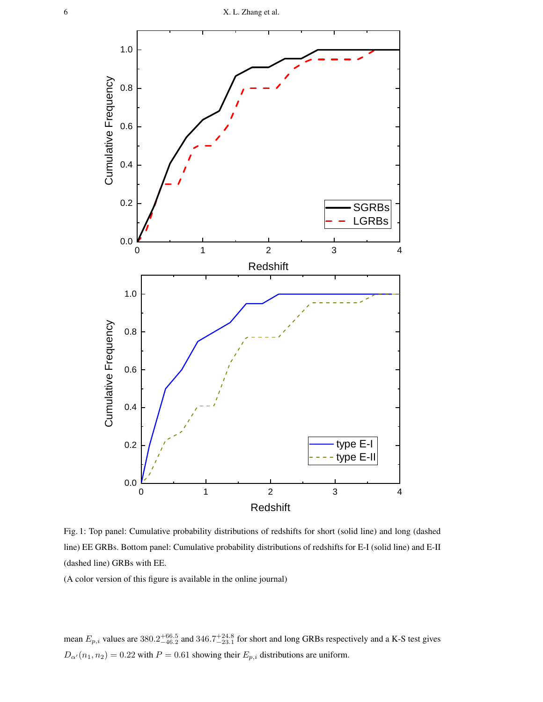<span id="page-5-0"></span>

Fig. 1: Top panel: Cumulative probability distributions of redshifts for short (solid line) and long (dashed line) EE GRBs. Bottom panel: Cumulative probability distributions of redshifts for E-I (solid line) and E-II (dashed line) GRBs with EE.

mean  $E_{p,i}$  values are  $380.2^{+66.5}_{-46.2}$  and  $346.7^{+24.8}_{-23.1}$  for short and long GRBs respectively and a K-S test gives  $D_{\alpha'}(n_1, n_2) = 0.22$  with  $P = 0.61$  showing their  $E_{p,i}$  distributions are uniform.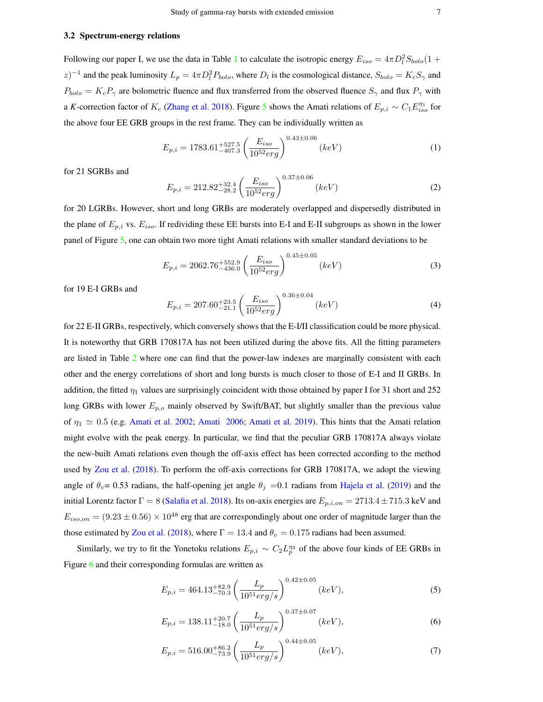#### <span id="page-6-4"></span><span id="page-6-0"></span>3.2 Spectrum-energy relations

Following our paper I, we use the data in Table [1](#page-4-0) to calculate the isotropic energy  $E_{iso} = 4\pi D_l^2 S_{bolo} (1 +$ z)<sup>-1</sup> and the peak luminosity  $L_p = 4\pi D_l^2 P_{bolo}$ , where  $D_l$  is the cosmological distance,  $S_{bolo} = K_c S_\gamma$  and  $P_{bolo} = K_c P_\gamma$  are bolometric fluence and flux transferred from the observed fluence  $S_\gamma$  and flux  $P_\gamma$  with a *K*-correction factor of  $K_c$  [\(Zhang et al.](#page-12-7) [2018\)](#page-12-7). Figure [5](#page-16-0) shows the Amati relations of  $E_{p,i} \sim C_1 E_{iso}^{\eta_1}$  for the above four EE GRB groups in the rest frame. They can be individually written as

<span id="page-6-2"></span>
$$
E_{p,i} = 1783.61^{+527.5}_{-407.3} \left(\frac{E_{iso}}{10^{52}erg}\right)^{0.43 \pm 0.06} (keV)
$$
 (1)

for 21 SGRBs and

$$
E_{p,i} = 212.82^{+32.4}_{-28.2} \left(\frac{E_{iso}}{10^{52}erg}\right)^{0.37 \pm 0.06} (keV)
$$
 (2)

for 20 LGRBs. However, short and long GRBs are moderately overlapped and dispersedly distributed in the plane of  $E_{p,i}$  vs.  $E_{iso}$ . If redividing these EE bursts into E-I and E-II subgroups as shown in the lower panel of Figure [5,](#page-16-0) one can obtain two more tight Amati relations with smaller standard deviations to be

$$
E_{p,i} = 2062.76^{+552.9}_{-436.0} \left(\frac{E_{iso}}{10^{52}erg}\right)^{0.45 \pm 0.05} (keV)
$$
 (3)

for 19 E-I GRBs and

$$
E_{p,i} = 207.60^{+23.5}_{-21.1} \left(\frac{E_{iso}}{10^{52}erg}\right)^{0.36 \pm 0.04} (keV)
$$
 (4)

for 22 E-II GRBs, respectively, which conversely shows that the E-I/II classification could be more physical. It is noteworthy that GRB 170817A has not been utilized during the above fits. All the fitting parameters are listed in Table [2](#page-7-0) where one can find that the power-law indexes are marginally consistent with each other and the energy correlations of short and long bursts is much closer to those of E-I and II GRBs. In addition, the fitted  $\eta_1$  values are surprisingly coincident with those obtained by paper I for 31 short and 252 long GRBs with lower  $E_{p,o}$  mainly observed by Swift/BAT, but slightly smaller than the previous value of  $\eta_1 \simeq 0.5$  (e.g. [Amati et al.](#page-10-27) [2002;](#page-10-16) [Amati](#page-10-17) [2006;](#page-10-17) Amati et al. [2019\)](#page-10-27). This hints that the Amati relation might evolve with the peak energy. In particular, we find that the peculiar GRB 170817A always violate the new-built Amati relations even though the off-axis effect has been corrected according to the method used by [Zou et al.](#page-12-9) [\(2018\)](#page-12-9). To perform the off-axis corrections for GRB 170817A, we adopt the viewing angle of  $\theta_v$ = 0.53 radians, the half-opening jet angle  $\theta_j$  =0.1 radians from [Hajela et al.](#page-10-28) [\(2019\)](#page-10-28) and the initial Lorentz factor  $\Gamma = 8$  [\(Salafia et al.](#page-11-31) [2018\)](#page-11-31). Its on-axis energies are  $E_{p,i,on} = 2713.4 \pm 715.3$  keV and  $E_{iso,on} = (9.23 \pm 0.56) \times 10^{48}$  erg that are correspondingly about one order of magnitude larger than the those estimated by [Zou et al.](#page-12-9) [\(2018\)](#page-12-9), where  $\Gamma = 13.4$  and  $\theta_v = 0.175$  radians had been assumed.

Similarly, we try to fit the Yonetoku relations  $E_{p,i} \sim C_2 L_p^{\eta_2}$  of the above four kinds of EE GRBs in Figure [6](#page-17-0) and their corresponding formulas are written as

$$
E_{p,i} = 464.13^{+82.9}_{-70.3} \left(\frac{L_p}{10^{51} erg/s}\right)^{0.42 \pm 0.05} (keV),\tag{5}
$$

<span id="page-6-1"></span>
$$
E_{p,i} = 138.11^{+20.7}_{-18.0} \left(\frac{L_p}{10^{51} erg/s}\right)^{0.37 \pm 0.07} (keV),\tag{6}
$$

<span id="page-6-3"></span>
$$
E_{p,i} = 516.00^{+86.2}_{-73.9} \left(\frac{L_p}{10^{51} erg/s}\right)^{0.44 \pm 0.05} (keV),\tag{7}
$$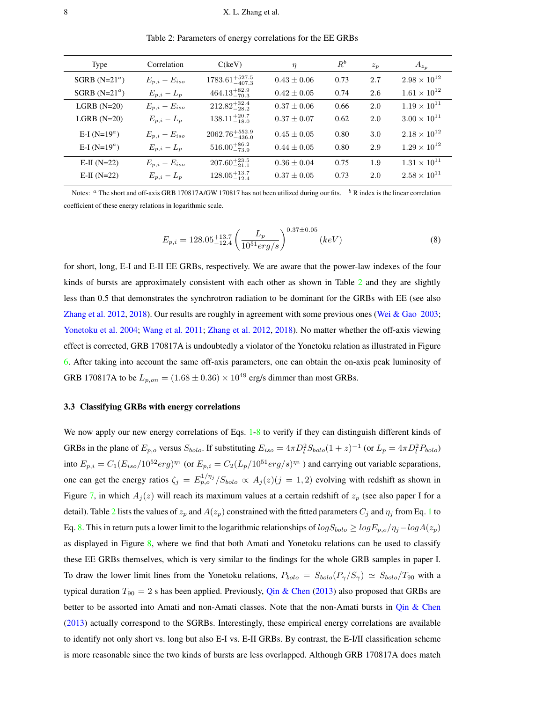<span id="page-7-2"></span><span id="page-7-0"></span>

| Type             | Correlation         | C(keV)                      | $\eta$          | $R^b$ | $z_p$ | $A_{z_p}$             |
|------------------|---------------------|-----------------------------|-----------------|-------|-------|-----------------------|
| SGRB $(N=21^a)$  | $E_{p,i} - E_{iso}$ | $1783.61_{-407.3}^{+527.5}$ | $0.43 \pm 0.06$ | 0.73  | 2.7   | $2.98 \times 10^{12}$ |
| SGRB $(N=21^a)$  | $E_{p,i}-L_p$       | $464.13_{-70.3}^{+82.9}$    | $0.42 \pm 0.05$ | 0.74  | 2.6   | $1.61 \times 10^{12}$ |
| $LGRB$ (N=20)    | $E_{p,i} - E_{iso}$ | $212.82_{-28.2}^{+32.4}$    | $0.37 \pm 0.06$ | 0.66  | 2.0   | $1.19 \times 10^{11}$ |
| $LGRB$ $(N=20)$  | $E_{p,i}-L_p$       | $138.11_{-18.0}^{+20.7}$    | $0.37 \pm 0.07$ | 0.62  | 2.0   | $3.00 \times 10^{11}$ |
| E-I ( $N=19^a$ ) | $E_{p,i} - E_{iso}$ | $2062.76_{-436.0}^{+552.9}$ | $0.45 \pm 0.05$ | 0.80  | 3.0   | $2.18 \times 10^{12}$ |
| E-I ( $N=19^a$ ) | $E_{p,i}-L_p$       | $516.00^{+86.2}_{-73.9}$    | $0.44 \pm 0.05$ | 0.80  | 2.9   | $1.29 \times 10^{12}$ |
| $E-II (N=22)$    | $E_{p,i} - E_{iso}$ | $207.60^{+23.5}_{-21.1}$    | $0.36 \pm 0.04$ | 0.75  | 1.9   | $1.31 \times 10^{11}$ |
| $E-II (N=22)$    | $E_{p,i}-L_p$       | $128.05_{-12.4}^{+13.7}$    | $0.37 \pm 0.05$ | 0.73  | 2.0   | $2.58 \times 10^{11}$ |

Table 2: Parameters of energy correlations for the EE GRBs

Notes:  $a$  The short and off-axis GRB 170817A/GW 170817 has not been utilized during our fits.  $b$  R index is the linear correlation coefficient of these energy relations in logarithmic scale.

<span id="page-7-1"></span>
$$
E_{p,i} = 128.05_{-12.4}^{+13.7} \left(\frac{L_p}{10^{51} erg/s}\right)^{0.37 \pm 0.05} (keV)
$$
 (8)

for short, long, E-I and E-II EE GRBs, respectively. We are aware that the power-law indexes of the four kinds of bursts are approximately consistent with each other as shown in Table  $2$  and they are slightly less than 0.5 that demonstrates the synchrotron radiation to be dominant for the GRBs with EE (see also [Zhang et al.](#page-12-10) [2012,](#page-12-10) [2018\)](#page-12-7). Our results are roughly in agreement with some previous ones [\(Wei & Gao](#page-11-32) [2003;](#page-11-32) [Yonetoku et al.](#page-11-25) [2004;](#page-11-25) [Wang et al.](#page-11-33) [2011;](#page-11-33) [Zhang et al.](#page-12-10) [2012,](#page-12-10) [2018\)](#page-12-7). No matter whether the off-axis viewing effect is corrected, GRB 170817A is undoubtedly a violator of the Yonetoku relation as illustrated in Figure [6.](#page-6-1) After taking into account the same off-axis parameters, one can obtain the on-axis peak luminosity of GRB 170817A to be  $L_{p,on} = (1.68 \pm 0.36) \times 10^{49}$  erg/s dimmer than most GRBs.

## 3.3 Classifying GRBs with energy correlations

We now apply our new energy correlations of Eqs. [1-](#page-6-2)[8](#page-7-1) to verify if they can distinguish different kinds of GRBs in the plane of  $E_{p,o}$  versus  $S_{bolo}$ . If substituting  $E_{iso} = 4\pi D_l^2 S_{bolo} (1+z)^{-1}$  (or  $L_p = 4\pi D_l^2 P_{bolo}$ ) into  $E_{p,i} = C_1 (E_{iso}/10^{52} erg)^{\eta_1}$  (or  $E_{p,i} = C_2 (L_p/10^{51} erg/s)^{\eta_2}$ ) and carrying out variable separations, one can get the energy ratios  $\zeta_j = E_{p,o}^{1/\eta_j}/S_{bolo} \propto A_j(z)(j=1,2)$  evolving with redshift as shown in Figure [7,](#page-18-0) in which  $A_j(z)$  will reach its maximum values at a certain redshift of  $z_p$  (see also paper I for a detail). Table [2](#page-7-0) lists the values of  $z_p$  and  $A(z_p)$  constrained with the fitted parameters  $C_j$  and  $\eta_j$  from Eq. [1](#page-6-2) to Eq. [8.](#page-7-1) This in return puts a lower limit to the logarithmic relationships of  $logS_{bolo} \ge logE_{p,o}/\eta_j - logA(z_p)$ as displayed in Figure [8,](#page-19-0) where we find that both Amati and Yonetoku relations can be used to classify these EE GRBs themselves, which is very similar to the findings for the whole GRB samples in paper I. To draw the lower limit lines from the Yonetoku relations,  $P_{bolo} = S_{bolo}(P_{\gamma}/S_{\gamma}) \simeq S_{bolo}/T_{90}$  with a typical duration  $T_{90} = 2$  s has been applied. Previously, [Qin & Chen](#page-11-34) [\(2013\)](#page-11-34) also proposed that GRBs are better to be assorted into Amati and non-Amati classes. Note that the non-Amati bursts in [Qin & Chen](#page-11-34) [\(2013\)](#page-11-34) actually correspond to the SGRBs. Interestingly, these empirical energy correlations are available to identify not only short vs. long but also E-I vs. E-II GRBs. By contrast, the E-I/II classification scheme is more reasonable since the two kinds of bursts are less overlapped. Although GRB 170817A does match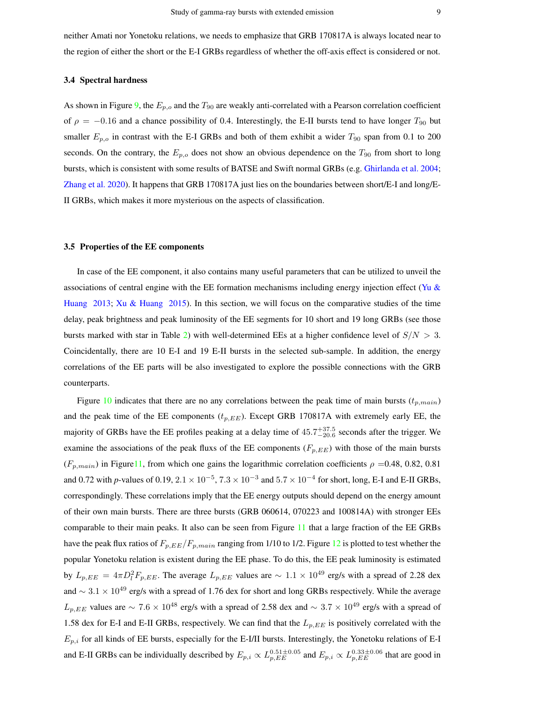<span id="page-8-0"></span>neither Amati nor Yonetoku relations, we needs to emphasize that GRB 170817A is always located near to the region of either the short or the E-I GRBs regardless of whether the off-axis effect is considered or not.

#### 3.4 Spectral hardness

As shown in Figure [9,](#page-20-0) the  $E_{p,o}$  and the  $T_{90}$  are weakly anti-correlated with a Pearson correlation coefficient of  $\rho = -0.16$  and a chance possibility of 0.4. Interestingly, the E-II bursts tend to have longer  $T_{90}$  but smaller  $E_{p,o}$  in contrast with the E-I GRBs and both of them exhibit a wider  $T_{90}$  span from 0.1 to 200 seconds. On the contrary, the  $E_{p,o}$  does not show an obvious dependence on the  $T_{90}$  from short to long bursts, which is consistent with some results of BATSE and Swift normal GRBs (e.g. [Ghirlanda et al.](#page-10-26) [2004;](#page-10-26) [Zhang et al.](#page-12-8) [2020\)](#page-12-8). It happens that GRB 170817A just lies on the boundaries between short/E-I and long/E-II GRBs, which makes it more mysterious on the aspects of classification.

# 3.5 Properties of the EE components

In case of the EE component, it also contains many useful parameters that can be utilized to unveil the associations of central engine with the EE formation mechanisms including energy injection effect (Yu  $\&$ [Huang](#page-11-35) [2013;](#page-11-35) [Xu & Huang](#page-11-36) [2015\)](#page-11-36). In this section, we will focus on the comparative studies of the time delay, peak brightness and peak luminosity of the EE segments for 10 short and 19 long GRBs (see those bursts marked with star in Table [2\)](#page-7-0) with well-determined EEs at a higher confidence level of  $S/N > 3$ . Coincidentally, there are 10 E-I and 19 E-II bursts in the selected sub-sample. In addition, the energy correlations of the EE parts will be also investigated to explore the possible connections with the GRB counterparts.

Figure [10](#page-21-0) indicates that there are no any correlations between the peak time of main bursts ( $t_{p,main}$ ) and the peak time of the EE components  $(t_{p,EE})$ . Except GRB 170817A with extremely early EE, the majority of GRBs have the EE profiles peaking at a delay time of  $45.7^{+37.5}_{-20.6}$  seconds after the trigger. We examine the associations of the peak fluxs of the EE components  $(F_{p,EE})$  with those of the main bursts  $(F_{p,main})$  in Figure 11, from which one gains the logarithmic correlation coefficients  $\rho = 0.48, 0.82, 0.81$ and 0.72 with *p*-values of 0.19,  $2.1 \times 10^{-5}$ ,  $7.3 \times 10^{-3}$  and  $5.7 \times 10^{-4}$  for short, long, E-I and E-II GRBs, correspondingly. These correlations imply that the EE energy outputs should depend on the energy amount of their own main bursts. There are three bursts (GRB 060614, 070223 and 100814A) with stronger EEs comparable to their main peaks. It also can be seen from Figure [11](#page-22-0) that a large fraction of the EE GRBs have the peak flux ratios of  $F_{p,EE}/F_{p,main}$  ranging from 1/10 to 1/2. Figure [12](#page-23-0) is plotted to test whether the popular Yonetoku relation is existent during the EE phase. To do this, the EE peak luminosity is estimated by  $L_{p,EE} = 4\pi D_l^2 F_{p,EE}$ . The average  $L_{p,EE}$  values are  $\sim 1.1 \times 10^{49}$  erg/s with a spread of 2.28 dex and  $\sim 3.1 \times 10^{49}$  erg/s with a spread of 1.76 dex for short and long GRBs respectively. While the average  $L_{p,EE}$  values are  $\sim 7.6 \times 10^{48}$  erg/s with a spread of 2.58 dex and  $\sim 3.7 \times 10^{49}$  erg/s with a spread of 1.58 dex for E-I and E-II GRBs, respectively. We can find that the  $L_{p,EE}$  is positively correlated with the  $E_{p,i}$  for all kinds of EE bursts, especially for the E-I/II bursts. Interestingly, the Yonetoku relations of E-I and E-II GRBs can be individually described by  $E_{p,i} \propto L_{p,EE}^{0.51\pm0.05}$  and  $E_{p,i} \propto L_{p,EE}^{0.33\pm0.06}$  that are good in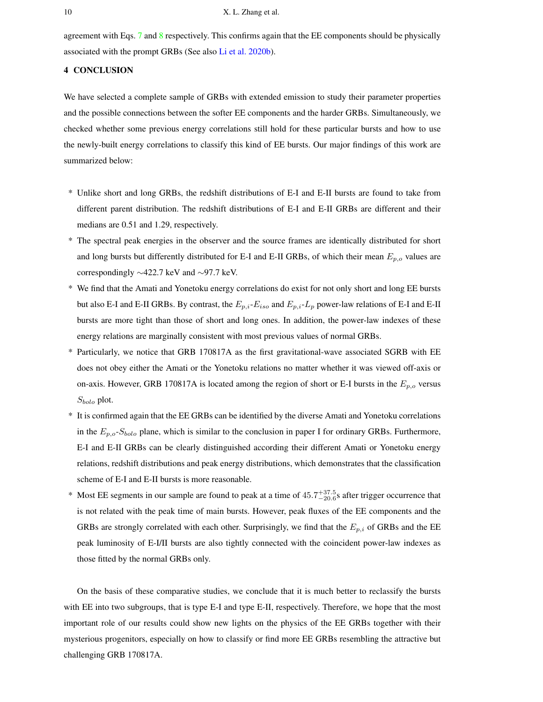<span id="page-9-1"></span>agreement with Eqs. [7](#page-6-3) and [8](#page-7-1) respectively. This confirms again that the EE components should be physically associated with the prompt GRBs (See also [Li et al.](#page-11-27) [2020b\)](#page-11-27).

# <span id="page-9-0"></span>4 CONCLUSION

We have selected a complete sample of GRBs with extended emission to study their parameter properties and the possible connections between the softer EE components and the harder GRBs. Simultaneously, we checked whether some previous energy correlations still hold for these particular bursts and how to use the newly-built energy correlations to classify this kind of EE bursts. Our major findings of this work are summarized below:

- \* Unlike short and long GRBs, the redshift distributions of E-I and E-II bursts are found to take from different parent distribution. The redshift distributions of E-I and E-II GRBs are different and their medians are 0.51 and 1.29, respectively.
- \* The spectral peak energies in the observer and the source frames are identically distributed for short and long bursts but differently distributed for E-I and E-II GRBs, of which their mean  $E_{p,o}$  values are correspondingly ∼422.7 keV and ∼97.7 keV.
- \* We find that the Amati and Yonetoku energy correlations do exist for not only short and long EE bursts but also E-I and E-II GRBs. By contrast, the  $E_{p,i}$ - $E_{iso}$  and  $E_{p,i}$ - $L_p$  power-law relations of E-I and E-II bursts are more tight than those of short and long ones. In addition, the power-law indexes of these energy relations are marginally consistent with most previous values of normal GRBs.
- \* Particularly, we notice that GRB 170817A as the first gravitational-wave associated SGRB with EE does not obey either the Amati or the Yonetoku relations no matter whether it was viewed off-axis or on-axis. However, GRB 170817A is located among the region of short or E-I bursts in the  $E_{p,o}$  versus  $S_{bolo}$  plot.
- \* It is confirmed again that the EE GRBs can be identified by the diverse Amati and Yonetoku correlations in the  $E_{p,o}S_{bolo}$  plane, which is similar to the conclusion in paper I for ordinary GRBs. Furthermore, E-I and E-II GRBs can be clearly distinguished according their different Amati or Yonetoku energy relations, redshift distributions and peak energy distributions, which demonstrates that the classification scheme of E-I and E-II bursts is more reasonable.
- \* Most EE segments in our sample are found to peak at a time of  $45.7^{+37.5}_{-20.6}$ s after trigger occurrence that is not related with the peak time of main bursts. However, peak fluxes of the EE components and the GRBs are strongly correlated with each other. Surprisingly, we find that the  $E_{p,i}$  of GRBs and the EE peak luminosity of E-I/II bursts are also tightly connected with the coincident power-law indexes as those fitted by the normal GRBs only.

On the basis of these comparative studies, we conclude that it is much better to reclassify the bursts with EE into two subgroups, that is type E-I and type E-II, respectively. Therefore, we hope that the most important role of our results could show new lights on the physics of the EE GRBs together with their mysterious progenitors, especially on how to classify or find more EE GRBs resembling the attractive but challenging GRB 170817A.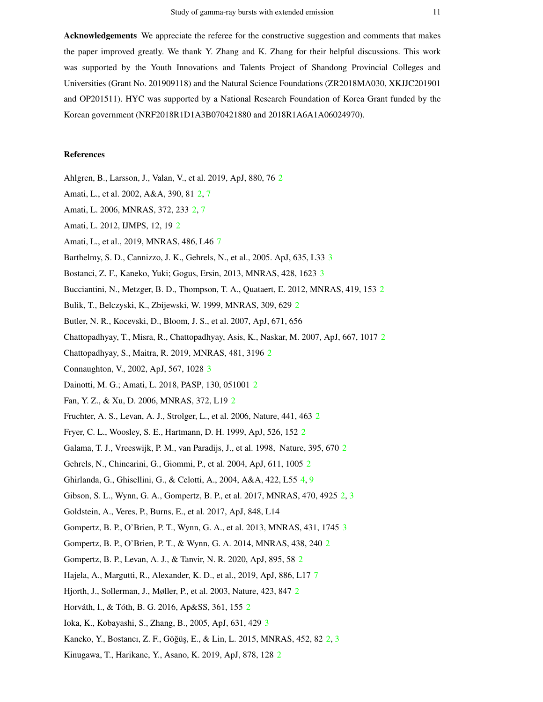Acknowledgements We appreciate the referee for the constructive suggestion and comments that makes the paper improved greatly. We thank Y. Zhang and K. Zhang for their helpful discussions. This work was supported by the Youth Innovations and Talents Project of Shandong Provincial Colleges and Universities (Grant No. 201909118) and the Natural Science Foundations (ZR2018MA030, XKJJC201901 and OP201511). HYC was supported by a National Research Foundation of Korea Grant funded by the Korean government (NRF2018R1D1A3B070421880 and 2018R1A6A1A06024970).

# References

- <span id="page-10-20"></span><span id="page-10-16"></span>Ahlgren, B., Larsson, J., Valan, V., et al. 2019, ApJ, 880, 76 [2](#page-1-0)
- <span id="page-10-17"></span>Amati, L., et al. 2002, A&A, 390, 81 [2,](#page-1-0) [7](#page-6-4)
- <span id="page-10-18"></span>Amati, L. 2006, MNRAS, 372, 233 [2,](#page-1-0) [7](#page-6-4)
- <span id="page-10-27"></span>Amati, L. 2012, IJMPS, 12, 19 [2](#page-1-0)
- <span id="page-10-22"></span>Amati, L., et al., 2019, MNRAS, 486, L46 [7](#page-6-4)
- <span id="page-10-24"></span>Barthelmy, S. D., Cannizzo, J. K., Gehrels, N., et al., 2005. ApJ, 635, L33 [3](#page-2-1)
- <span id="page-10-6"></span>Bostanci, Z. F., Kaneko, Yuki; Gogus, Ersin, 2013, MNRAS, 428, 1623 [3](#page-2-1)
- <span id="page-10-15"></span>Bucciantini, N., Metzger, B. D., Thompson, T. A., Quataert, E. 2012, MNRAS, 419, 153 [2](#page-1-0)
- Bulik, T., Belczyski, K., Zbijewski, W. 1999, MNRAS, 309, 629 [2](#page-1-0)
- <span id="page-10-1"></span>Butler, N. R., Kocevski, D., Bloom, J. S., et al. 2007, ApJ, 671, 656
- <span id="page-10-3"></span>Chattopadhyay, T., Misra, R., Chattopadhyay, Asis, K., Naskar, M. 2007, ApJ, 667, 1017 [2](#page-1-0)
- <span id="page-10-23"></span>Chattopadhyay, S., Maitra, R. 2019, MNRAS, 481, 3196 [2](#page-1-0)
- <span id="page-10-19"></span>Connaughton, V., 2002, ApJ, 567, 1028 [3](#page-2-1)
- <span id="page-10-5"></span>Dainotti, M. G.; Amati, L. 2018, PASP, 130, 051001 [2](#page-1-0)
- <span id="page-10-12"></span>Fan, Y. Z., & Xu, D. 2006, MNRAS, 372, L19 [2](#page-1-0)
- <span id="page-10-14"></span>Fruchter, A. S., Levan, A. J., Strolger, L., et al. 2006, Nature, 441, 463 [2](#page-1-0)
- <span id="page-10-10"></span>Fryer, C. L., Woosley, S. E., Hartmann, D. H. 1999, ApJ, 526, 152 [2](#page-1-0)
- <span id="page-10-0"></span>Galama, T. J., Vreeswijk, P. M., van Paradijs, J., et al. 1998, Nature, 395, 670 [2](#page-1-0)
- <span id="page-10-26"></span>Gehrels, N., Chincarini, G., Giommi, P., et al. 2004, ApJ, 611, 1005 [2](#page-1-0)
- <span id="page-10-8"></span>Ghirlanda, G., Ghisellini, G., & Celotti, A., 2004, A&A, 422, L55 [4,](#page-3-1) [9](#page-8-0)
- Gibson, S. L., Wynn, G. A., Gompertz, B. P., et al. 2017, MNRAS, 470, 4925 [2,](#page-1-0) [3](#page-2-1)
- <span id="page-10-25"></span>Goldstein, A., Veres, P., Burns, E., et al. 2017, ApJ, 848, L14
- <span id="page-10-7"></span>Gompertz, B. P., O'Brien, P. T., Wynn, G. A., et al. 2013, MNRAS, 431, 1745 [3](#page-2-1)
- <span id="page-10-13"></span>Gompertz, B. P., O'Brien, P. T., & Wynn, G. A. 2014, MNRAS, 438, 240 [2](#page-1-0)
- <span id="page-10-28"></span>Gompertz, B. P., Levan, A. J., & Tanvir, N. R. 2020, ApJ, 895, 58 [2](#page-1-0)
- <span id="page-10-11"></span>Hajela, A., Margutti, R., Alexander, K. D., et al., 2019, ApJ, 886, L17 [7](#page-6-4)
- <span id="page-10-2"></span>Hjorth, J., Sollerman, J., Møller, P., et al. 2003, Nature, 423, 847 [2](#page-1-0)
- <span id="page-10-21"></span>Horváth, I., & Tóth, B. G. [2](#page-1-0)016, Ap&SS, 361, 155 2
- <span id="page-10-4"></span>Ioka, K., Kobayashi, S., Zhang, B., 2005, ApJ, 631, 429 [3](#page-2-1)
- <span id="page-10-9"></span>Kaneko, Y., Bostancı, Z. F., Göğüş, E., & Lin, L. 2015, MNRAS, 45[2,](#page-1-0) 82 2, [3](#page-2-1)
- Kinugawa, T., Harikane, Y., Asano, K. 2019, ApJ, 878, 128 [2](#page-1-0)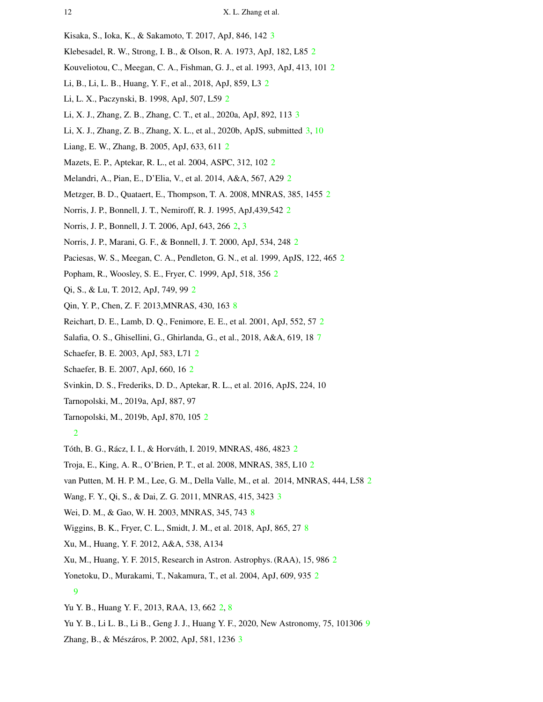- <span id="page-11-30"></span><span id="page-11-0"></span>Kisaka, S., Ioka, K., & Sakamoto, T. 2017, ApJ, 846, 142 [3](#page-2-1)
- <span id="page-11-2"></span>Klebesadel, R. W., Strong, I. B., & Olson, R. A. 1973, ApJ, 182, L85 [2](#page-1-0)
- <span id="page-11-12"></span>Kouveliotou, C., Meegan, C. A., Fishman, G. J., et al. 1993, ApJ, 413, 101 [2](#page-1-0)
- <span id="page-11-14"></span>Li, B., Li, L. B., Huang, Y. F., et al., 2018, ApJ, 859, L3 [2](#page-1-0)
- <span id="page-11-26"></span>Li, L. X., Paczynski, B. 1998, ApJ, 507, L59 [2](#page-1-0)
- <span id="page-11-27"></span>Li, X. J., Zhang, Z. B., Zhang, C. T., et al., 2020a, ApJ, 892, 113 [3](#page-2-1)
- <span id="page-11-24"></span>Li, X. J., Zhang, Z. B., Zhang, X. L., et al., 2020b, ApJS, submitted [3,](#page-2-1) [10](#page-9-1)
- <span id="page-11-7"></span>Liang, E. W., Zhang, B. 2005, ApJ, 633, 611 [2](#page-1-0)
- <span id="page-11-13"></span>Mazets, E. P., Aptekar, R. L., et al. 2004, ASPC, 312, 102 [2](#page-1-0)
- <span id="page-11-10"></span>Melandri, A., Pian, E., D'Elia, V., et al. 2014, A&A, 567, A29 [2](#page-1-0)
- <span id="page-11-1"></span>Metzger, B. D., Quataert, E., Thompson, T. A. 2008, MNRAS, 385, 1455 [2](#page-1-0)
- <span id="page-11-8"></span>Norris, J. P., Bonnell, J. T., Nemiroff, R. J. 1995, ApJ,439,542 [2](#page-1-0)
- <span id="page-11-18"></span>Norris, J. P., Bonnell, J. T. 2006, ApJ, 643, 266 [2,](#page-1-0) [3](#page-2-1)
- <span id="page-11-3"></span>Norris, J. P., Marani, G. F., & Bonnell, J. T. 2000, ApJ, 534, 248 [2](#page-1-0)
- <span id="page-11-15"></span>Paciesas, W. S., Meegan, C. A., Pendleton, G. N., et al. 1999, ApJS, 122, 465 [2](#page-1-0)
- <span id="page-11-22"></span>Popham, R., Woosley, S. E., Fryer, C. 1999, ApJ, 518, 356 [2](#page-1-0)
- <span id="page-11-34"></span>Qi, S., & Lu, T. 2012, ApJ, 749, 99 [2](#page-1-0)
- <span id="page-11-19"></span>Qin, Y. P., Chen, Z. F. 2013,MNRAS, 430, 163 [8](#page-7-2)
- <span id="page-11-31"></span>Reichart, D. E., Lamb, D. Q., Fenimore, E. E., et al. 2001, ApJ, 552, 57 [2](#page-1-0)
- <span id="page-11-20"></span>Salafia, O. S., Ghisellini, G., Ghirlanda, G., et al., 2018, A&A, 619, 18 [7](#page-6-4)
- <span id="page-11-21"></span>Schaefer, B. E. 2003, ApJ, 583, L71 [2](#page-1-0)
- <span id="page-11-9"></span>Schaefer, B. E. 2007, ApJ, 660, 16 [2](#page-1-0)
- <span id="page-11-4"></span>Svinkin, D. S., Frederiks, D. D., Aptekar, R. L., et al. 2016, ApJS, 224, 10
- <span id="page-11-5"></span>Tarnopolski, M., 2019a, ApJ, 887, 97
- Tarnopolski, M., 2019b, ApJ, 870, 105 [2](#page-1-0)
	- [2](#page-1-0)
- <span id="page-11-16"></span><span id="page-11-6"></span>Tóth, B. G., Rácz, I. I., & Horváth, I. [2](#page-1-0)019, MNRAS, 486, 4823 <sup>2</sup>
- <span id="page-11-29"></span>Troja, E., King, A. R., O'Brien, P. T., et al. 2008, MNRAS, 385, L10 [2](#page-1-0)
- <span id="page-11-33"></span>van Putten, M. H. P. M., Lee, G. M., Della Valle, M., et al. 2014, MNRAS, 444, L58 [2](#page-1-0)
- <span id="page-11-32"></span>Wang, F. Y., Qi, S., & Dai, Z. G. 2011, MNRAS, 415, 3423 [3](#page-2-1)
- <span id="page-11-17"></span>Wei, D. M., & Gao, W. H. 2003, MNRAS, 345, 743 [8](#page-7-2)
- <span id="page-11-23"></span>Wiggins, B. K., Fryer, C. L., Smidt, J. M., et al. 2018, ApJ, 865, 27 [8](#page-7-2)
- <span id="page-11-36"></span>Xu, M., Huang, Y. F. 2012, A&A, 538, A134
- <span id="page-11-25"></span>Xu, M., Huang, Y. F. 2015, Research in Astron. Astrophys. (RAA), 15, 986 [2](#page-1-0)
- Yonetoku, D., Murakami, T., Nakamura, T., et al. 2004, ApJ, 609, 935 [2](#page-1-0)
	- [9](#page-8-0)
- <span id="page-11-35"></span><span id="page-11-28"></span>Yu Y. B., Huang Y. F., 2013, RAA, 13, 662 [2,](#page-1-0) [8](#page-7-2)
- <span id="page-11-11"></span>Yu Y. B., Li L. B., Li B., Geng J. J., Huang Y. F., 2020, New Astronomy, 75, 101306 [9](#page-8-0)
- Zhang, B., & Mészáros, P. 2002, ApJ, 581, 12[3](#page-2-1)6 3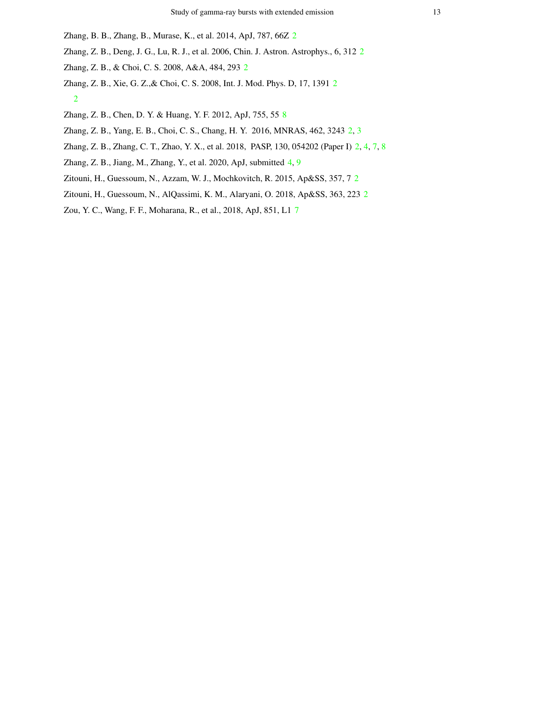- <span id="page-12-5"></span><span id="page-12-0"></span>Zhang, B. B., Zhang, B., Murase, K., et al. 2014, ApJ, 787, 66Z [2](#page-1-0)
- <span id="page-12-1"></span>Zhang, Z. B., Deng, J. G., Lu, R. J., et al. 2006, Chin. J. Astron. Astrophys., 6, 312 [2](#page-1-0)
- <span id="page-12-6"></span>Zhang, Z. B., & Choi, C. S. 2008, A&A, 484, 293 [2](#page-1-0)
- Zhang, Z. B., Xie, G. Z.,& Choi, C. S. 2008, Int. J. Mod. Phys. D, 17, 1391 [2](#page-1-0) [2](#page-1-0)
- <span id="page-12-10"></span><span id="page-12-2"></span>Zhang, Z. B., Chen, D. Y. & Huang, Y. F. 2012, ApJ, 755, 55 [8](#page-7-2)
- <span id="page-12-7"></span>Zhang, Z. B., Yang, E. B., Choi, C. S., Chang, H. Y. 2016, MNRAS, 462, 3243 [2,](#page-1-0) [3](#page-2-1)
- <span id="page-12-8"></span>Zhang, Z. B., Zhang, C. T., Zhao, Y. X., et al. 2018, PASP, 130, 054202 (Paper I) [2,](#page-1-0) [4,](#page-3-1) [7,](#page-6-4) [8](#page-7-2)
- <span id="page-12-3"></span>Zhang, Z. B., Jiang, M., Zhang, Y., et al. 2020, ApJ, submitted [4,](#page-3-1) [9](#page-8-0)
- <span id="page-12-4"></span>Zitouni, H., Guessoum, N., Azzam, W. J., Mochkovitch, R. 2015, Ap&SS, 357, 7 [2](#page-1-0)
- <span id="page-12-9"></span>Zitouni, H., Guessoum, N., AlQassimi, K. M., Alaryani, O. 2018, Ap&SS, 363, 223 [2](#page-1-0)
- Zou, Y. C., Wang, F. F., Moharana, R., et al., 2018, ApJ, 851, L1 [7](#page-6-4)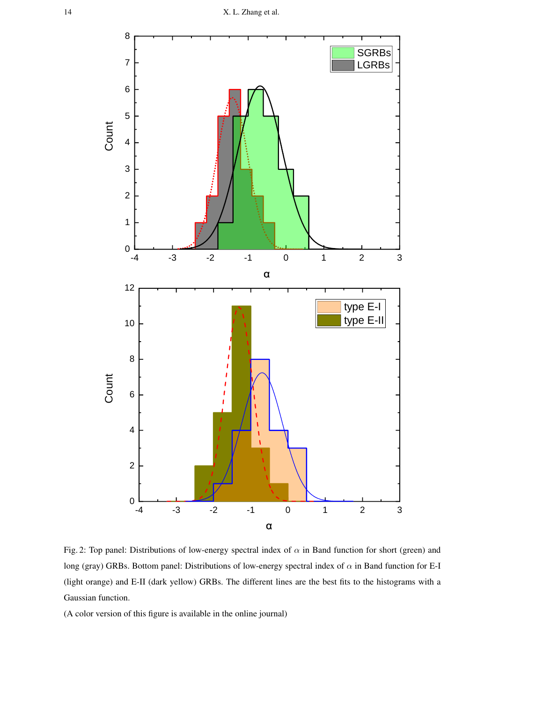<span id="page-13-0"></span>

Fig. 2: Top panel: Distributions of low-energy spectral index of  $\alpha$  in Band function for short (green) and long (gray) GRBs. Bottom panel: Distributions of low-energy spectral index of  $\alpha$  in Band function for E-I (light orange) and E-II (dark yellow) GRBs. The different lines are the best fits to the histograms with a Gaussian function.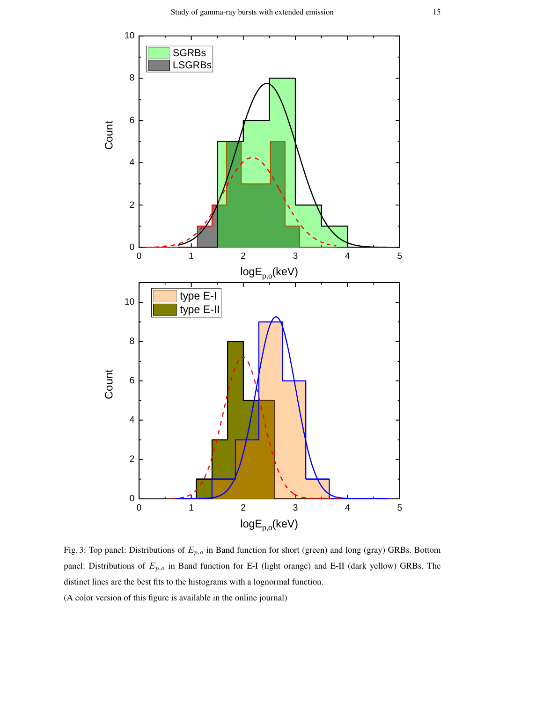<span id="page-14-0"></span>

Fig. 3: Top panel: Distributions of  $E_{p,o}$  in Band function for short (green) and long (gray) GRBs. Bottom panel: Distributions of  $E_{p,o}$  in Band function for E-I (light orange) and E-II (dark yellow) GRBs. The distinct lines are the best fits to the histograms with a lognormal function.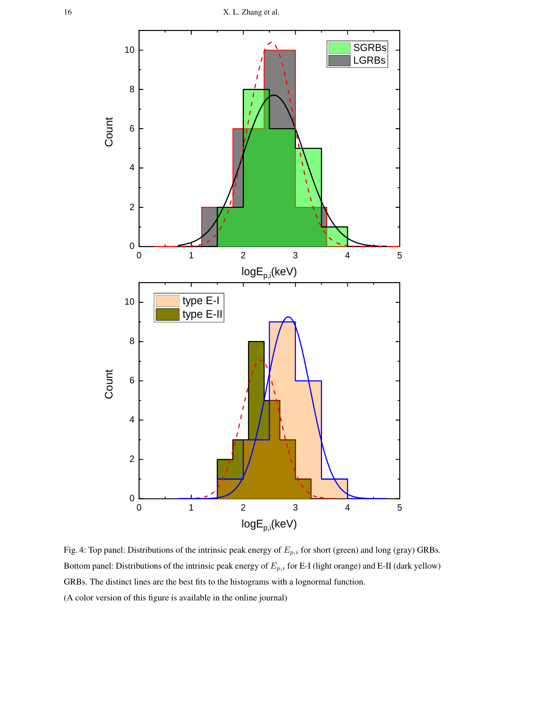<span id="page-15-0"></span>![](_page_15_Figure_1.jpeg)

Fig. 4: Top panel: Distributions of the intrinsic peak energy of  $E_{p,i}$  for short (green) and long (gray) GRBs. Bottom panel: Distributions of the intrinsic peak energy of  $E_{p,i}$  for E-I (light orange) and E-II (dark yellow) GRBs. The distinct lines are the best fits to the histograms with a lognormal function. (A color version of this figure is available in the online journal)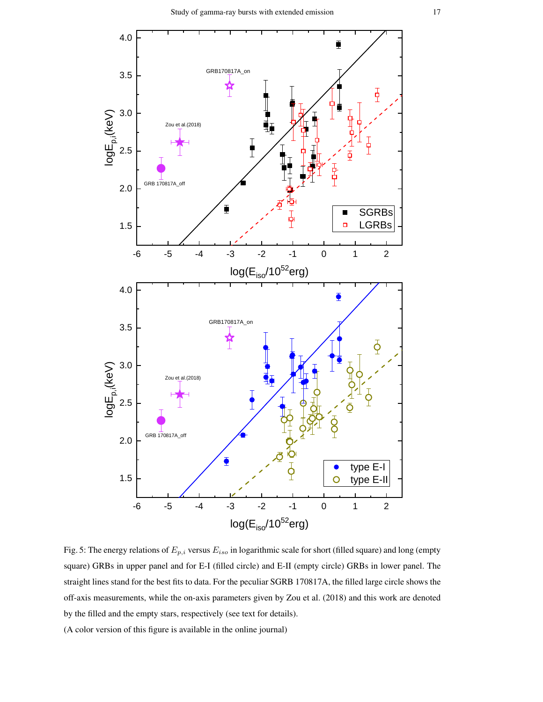<span id="page-16-0"></span>![](_page_16_Figure_1.jpeg)

Fig. 5: The energy relations of  $E_{p,i}$  versus  $E_{iso}$  in logarithmic scale for short (filled square) and long (empty square) GRBs in upper panel and for E-I (filled circle) and E-II (empty circle) GRBs in lower panel. The straight lines stand for the best fits to data. For the peculiar SGRB 170817A, the filled large circle shows the off-axis measurements, while the on-axis parameters given by Zou et al. (2018) and this work are denoted by the filled and the empty stars, respectively (see text for details).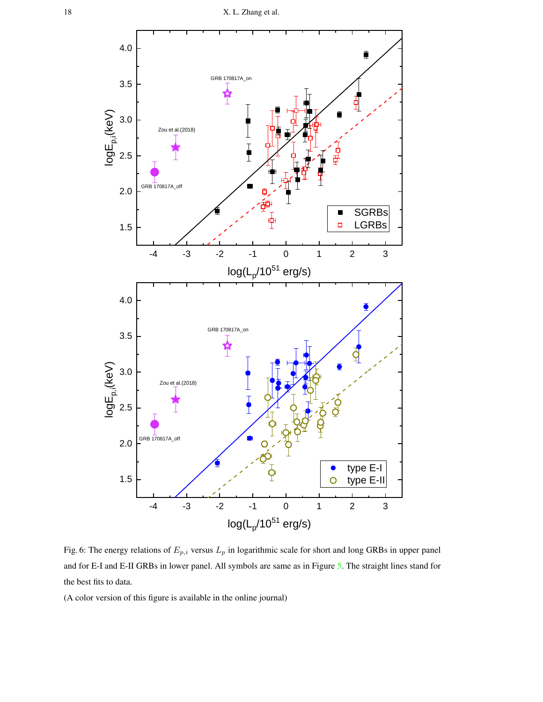<span id="page-17-0"></span>![](_page_17_Figure_1.jpeg)

Fig. 6: The energy relations of  $E_{p,i}$  versus  $L_p$  in logarithmic scale for short and long GRBs in upper panel and for E-I and E-II GRBs in lower panel. All symbols are same as in Figure [5.](#page-16-0) The straight lines stand for the best fits to data.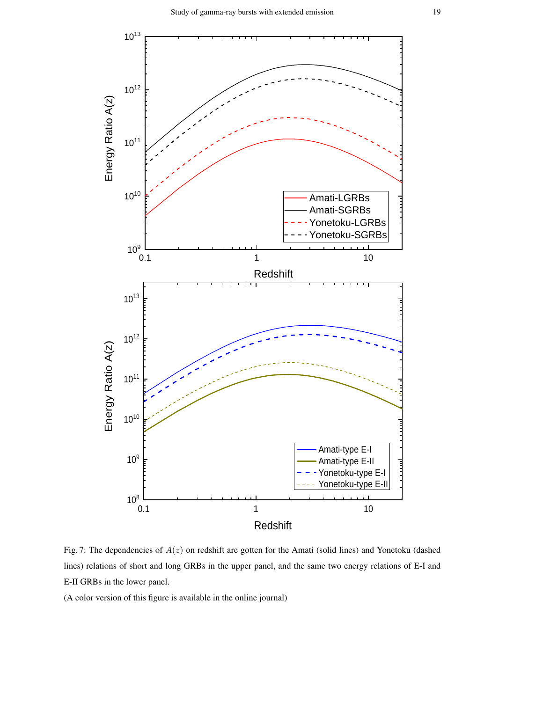<span id="page-18-0"></span>![](_page_18_Figure_1.jpeg)

Fig. 7: The dependencies of  $A(z)$  on redshift are gotten for the Amati (solid lines) and Yonetoku (dashed lines) relations of short and long GRBs in the upper panel, and the same two energy relations of E-I and E-II GRBs in the lower panel.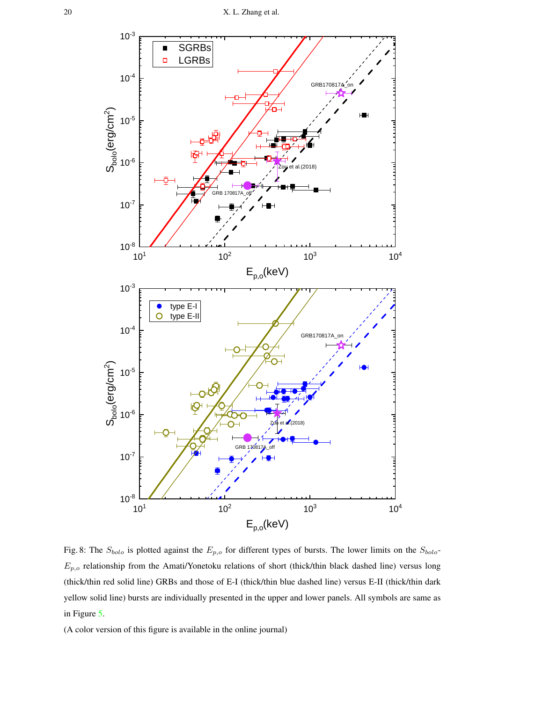<span id="page-19-0"></span>![](_page_19_Figure_1.jpeg)

Fig. 8: The  $S_{bolo}$  is plotted against the  $E_{p,o}$  for different types of bursts. The lower limits on the  $S_{bolo}$ - $E_{p,o}$  relationship from the Amati/Yonetoku relations of short (thick/thin black dashed line) versus long (thick/thin red solid line) GRBs and those of E-I (thick/thin blue dashed line) versus E-II (thick/thin dark yellow solid line) bursts are individually presented in the upper and lower panels. All symbols are same as in Figure [5.](#page-16-0)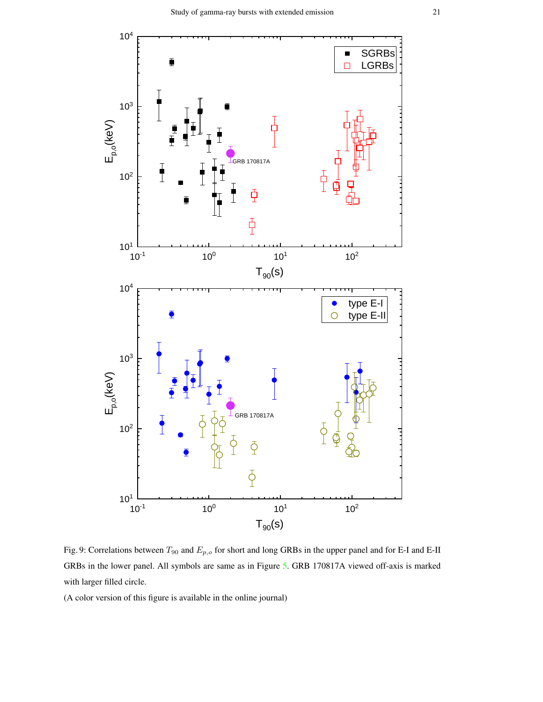<span id="page-20-0"></span>![](_page_20_Figure_1.jpeg)

Fig. 9: Correlations between  $T_{90}$  and  $E_{p,o}$  for short and long GRBs in the upper panel and for E-I and E-II GRBs in the lower panel. All symbols are same as in Figure [5.](#page-16-0) GRB 170817A viewed off-axis is marked with larger filled circle.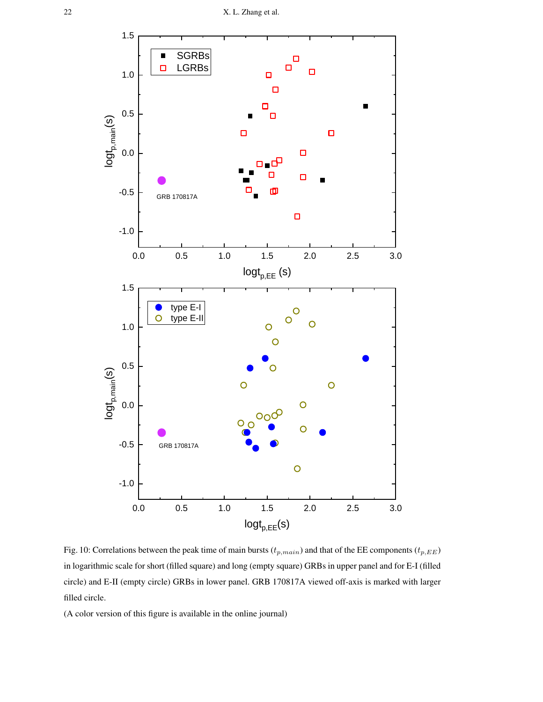<span id="page-21-0"></span>![](_page_21_Figure_1.jpeg)

Fig. 10: Correlations between the peak time of main bursts ( $t_{p,main}$ ) and that of the EE components ( $t_{p,EE}$ ) in logarithmic scale for short (filled square) and long (empty square) GRBs in upper panel and for E-I (filled circle) and E-II (empty circle) GRBs in lower panel. GRB 170817A viewed off-axis is marked with larger filled circle.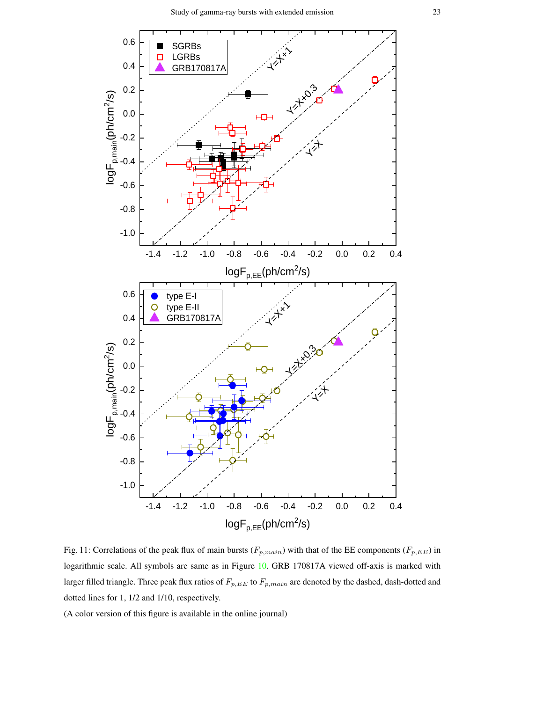<span id="page-22-0"></span>![](_page_22_Figure_1.jpeg)

Fig. 11: Correlations of the peak flux of main bursts ( $F_{p,main}$ ) with that of the EE components ( $F_{p,EE}$ ) in logarithmic scale. All symbols are same as in Figure [10.](#page-21-0) GRB 170817A viewed off-axis is marked with larger filled triangle. Three peak flux ratios of  $F_{p,EE}$  to  $F_{p,main}$  are denoted by the dashed, dash-dotted and dotted lines for 1, 1/2 and 1/10, respectively.